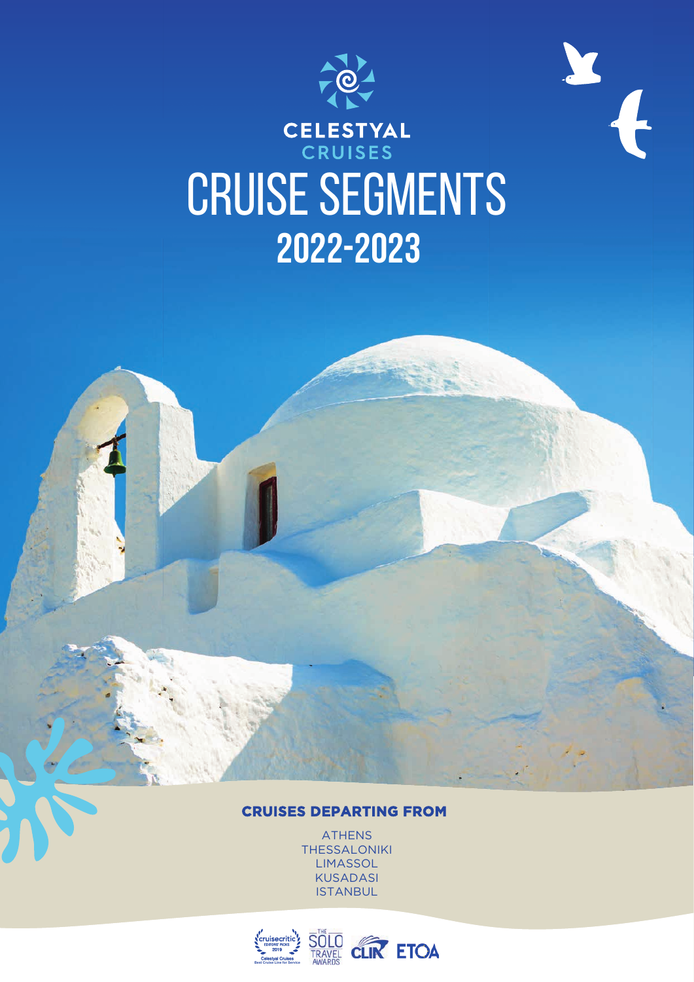

X

# CELESTYAL<br>CRUISES CRUISE SEGMENTS **2022-2023**

## **CRUISES DEPARTING FROM**

ATHENS **THESSALONIKI LIMASSOL** KUSADASI ISTANBUL